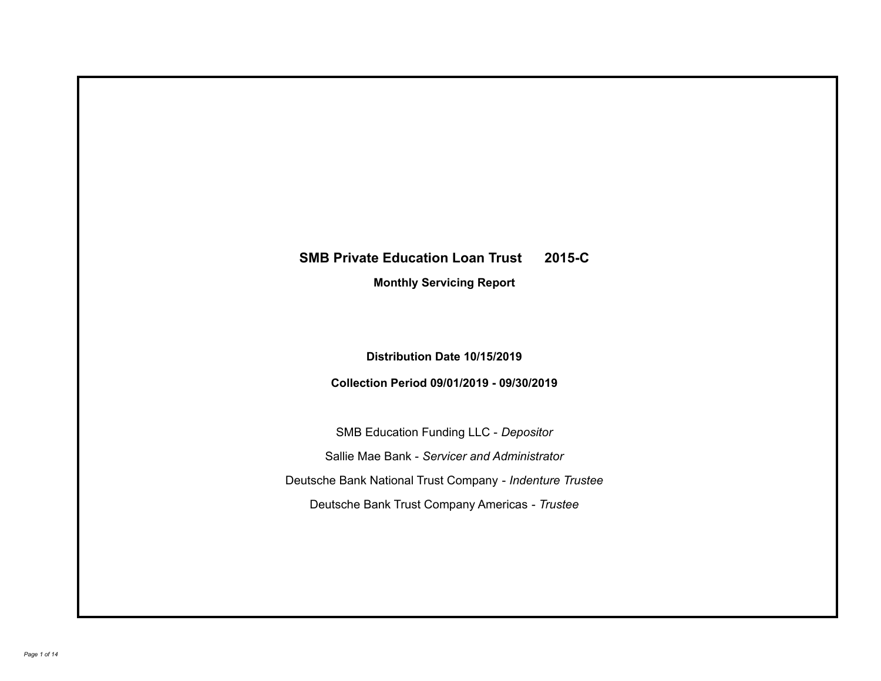# **SMB Private Education Loan Trust 2015-C**

**Monthly Servicing Report**

**Distribution Date 10/15/2019**

**Collection Period 09/01/2019 - 09/30/2019**

SMB Education Funding LLC - *Depositor* Sallie Mae Bank - *Servicer and Administrator* Deutsche Bank National Trust Company - *Indenture Trustee* Deutsche Bank Trust Company Americas - *Trustee*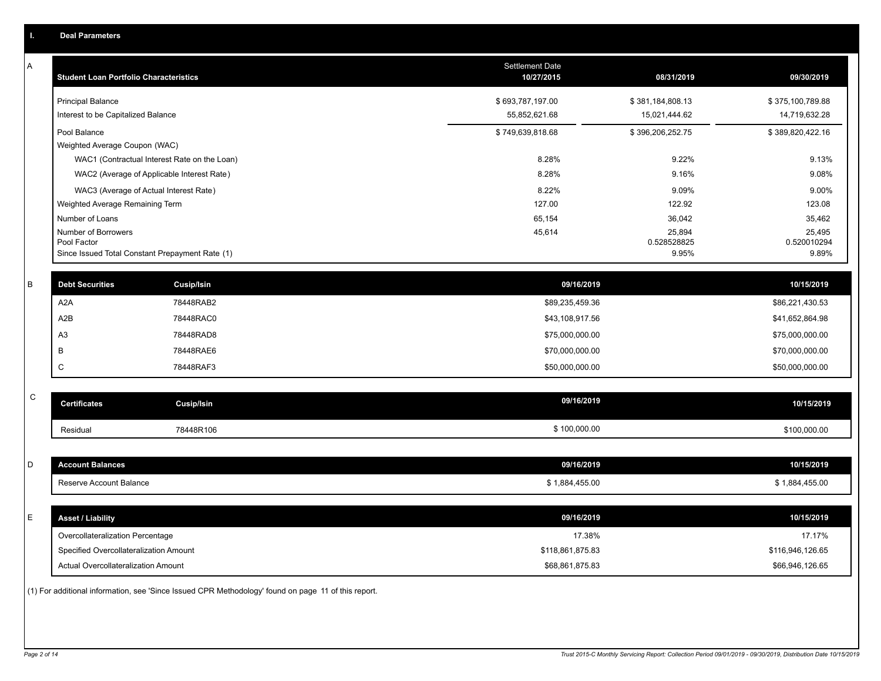| A           | <b>Student Loan Portfolio Characteristics</b> |                                                 | <b>Settlement Date</b><br>10/27/2015 | 08/31/2019            | 09/30/2019            |
|-------------|-----------------------------------------------|-------------------------------------------------|--------------------------------------|-----------------------|-----------------------|
|             | <b>Principal Balance</b>                      |                                                 | \$693,787,197.00                     | \$381,184,808.13      | \$375,100,789.88      |
|             | Interest to be Capitalized Balance            |                                                 | 55,852,621.68                        | 15,021,444.62         | 14,719,632.28         |
|             | Pool Balance                                  |                                                 | \$749,639,818.68                     | \$396,206,252.75      | \$389,820,422.16      |
|             | Weighted Average Coupon (WAC)                 |                                                 |                                      |                       |                       |
|             |                                               | WAC1 (Contractual Interest Rate on the Loan)    | 8.28%                                | 9.22%                 | 9.13%                 |
|             |                                               | WAC2 (Average of Applicable Interest Rate)      | 8.28%                                | 9.16%                 | 9.08%                 |
|             |                                               | WAC3 (Average of Actual Interest Rate)          | 8.22%                                | 9.09%                 | 9.00%                 |
|             | Weighted Average Remaining Term               |                                                 | 127.00                               | 122.92                | 123.08                |
|             | Number of Loans                               |                                                 | 65,154                               | 36,042                | 35,462                |
|             | Number of Borrowers<br>Pool Factor            |                                                 | 45,614                               | 25,894<br>0.528528825 | 25,495<br>0.520010294 |
|             |                                               | Since Issued Total Constant Prepayment Rate (1) |                                      | 9.95%                 | 9.89%                 |
| B           | <b>Debt Securities</b>                        | <b>Cusip/Isin</b>                               | 09/16/2019                           |                       | 10/15/2019            |
|             | A <sub>2</sub> A                              | 78448RAB2                                       | \$89,235,459.36                      |                       | \$86,221,430.53       |
|             | A2B                                           | 78448RAC0                                       | \$43,108,917.56                      |                       | \$41,652,864.98       |
|             | A <sub>3</sub>                                | 78448RAD8                                       | \$75,000,000.00                      |                       | \$75,000,000.00       |
| B           |                                               | 78448RAE6                                       | \$70,000,000.00                      |                       | \$70,000,000.00       |
| C           |                                               | 78448RAF3                                       | \$50,000,000.00                      |                       | \$50,000,000.00       |
|             |                                               |                                                 |                                      |                       |                       |
| $\mathsf C$ | <b>Certificates</b>                           | <b>Cusip/Isin</b>                               | 09/16/2019                           |                       | 10/15/2019            |
|             | Residual                                      | 78448R106                                       | \$100,000.00                         |                       | \$100,000.00          |
|             |                                               |                                                 |                                      |                       |                       |
| D           | <b>Account Balances</b>                       |                                                 | 09/16/2019                           |                       | 10/15/2019            |
|             | Reserve Account Balance                       |                                                 | \$1,884,455.00                       |                       | \$1,884,455.00        |
| E           | <b>Asset / Liability</b>                      |                                                 | 09/16/2019                           |                       | 10/15/2019            |
|             | Overcollateralization Percentage              |                                                 | 17.38%                               |                       | 17.17%                |
|             |                                               |                                                 | \$118,861,875.83                     |                       | \$116,946,126.65      |
|             | Specified Overcollateralization Amount        |                                                 |                                      |                       |                       |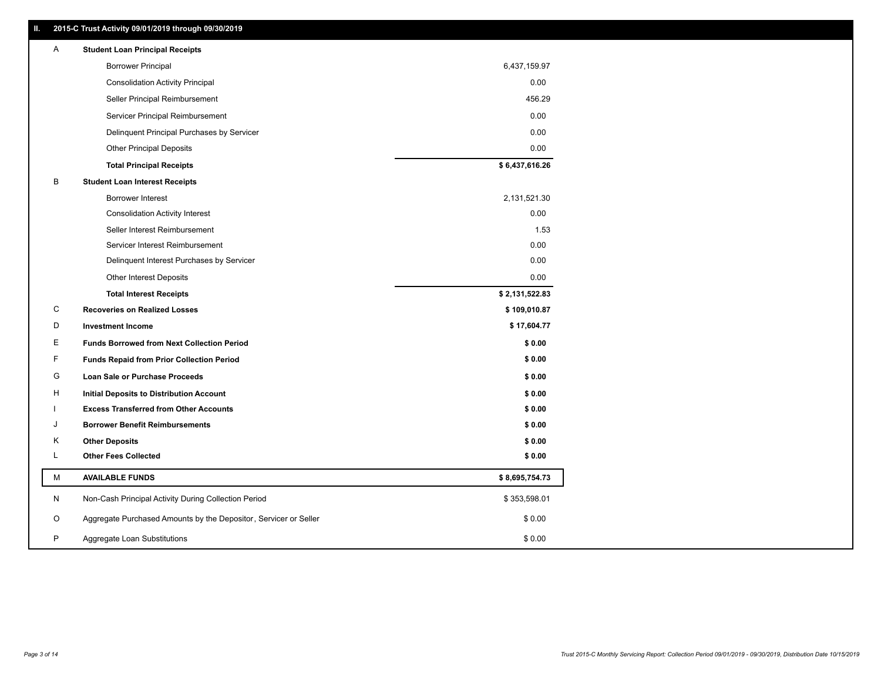| Ш. | 2015-C Trust Activity 09/01/2019 through 09/30/2019              |                |
|----|------------------------------------------------------------------|----------------|
| Α  | <b>Student Loan Principal Receipts</b>                           |                |
|    | <b>Borrower Principal</b>                                        | 6,437,159.97   |
|    | <b>Consolidation Activity Principal</b>                          | 0.00           |
|    | Seller Principal Reimbursement                                   | 456.29         |
|    | Servicer Principal Reimbursement                                 | 0.00           |
|    | Delinquent Principal Purchases by Servicer                       | 0.00           |
|    | <b>Other Principal Deposits</b>                                  | 0.00           |
|    | <b>Total Principal Receipts</b>                                  | \$6,437,616.26 |
| В  | <b>Student Loan Interest Receipts</b>                            |                |
|    | <b>Borrower Interest</b>                                         | 2,131,521.30   |
|    | <b>Consolidation Activity Interest</b>                           | 0.00           |
|    | Seller Interest Reimbursement                                    | 1.53           |
|    | Servicer Interest Reimbursement                                  | 0.00           |
|    | Delinquent Interest Purchases by Servicer                        | 0.00           |
|    | <b>Other Interest Deposits</b>                                   | 0.00           |
|    | <b>Total Interest Receipts</b>                                   | \$2,131,522.83 |
| С  | <b>Recoveries on Realized Losses</b>                             | \$109,010.87   |
| D  | <b>Investment Income</b>                                         | \$17,604.77    |
| Ε  | <b>Funds Borrowed from Next Collection Period</b>                | \$0.00         |
| F  | <b>Funds Repaid from Prior Collection Period</b>                 | \$0.00         |
| G  | Loan Sale or Purchase Proceeds                                   | \$0.00         |
| н  | <b>Initial Deposits to Distribution Account</b>                  | \$0.00         |
|    | <b>Excess Transferred from Other Accounts</b>                    | \$0.00         |
| J  | <b>Borrower Benefit Reimbursements</b>                           | \$0.00         |
| Κ  | <b>Other Deposits</b>                                            | \$0.00         |
| L  | <b>Other Fees Collected</b>                                      | \$0.00         |
| M  | <b>AVAILABLE FUNDS</b>                                           | \$8,695,754.73 |
| N  | Non-Cash Principal Activity During Collection Period             | \$353,598.01   |
| O  | Aggregate Purchased Amounts by the Depositor, Servicer or Seller | \$0.00         |
|    |                                                                  |                |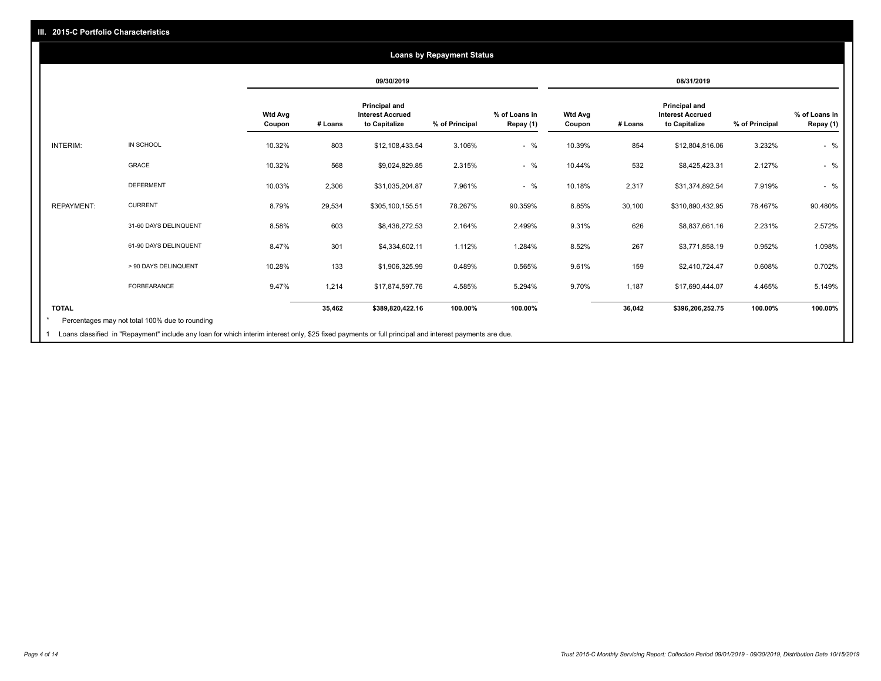## **09/30/2019 08/31/2019 Wtd Avg Coupon # Loans Principal and Interest Accrued to Capitalize % of Principal % of Loans in Repay (1) Wtd Avg Coupon # Loans Principal and Interest Accrued to Capitalize % of Principal % of Loans in Repay (1)**  INTERIM: IN SCHOOL 10.32% 803 \$12,108,433.54 3.106% - % 10.39% 854 \$12,804,816.06 3.232% - % GRACE 10.32% 568 \$9,024,829.85 2.315% - % 10.44% 532 \$8,425,423.31 2.127% - % DEFERMENT 10.03% 2,306 \$31,035,204.87 7.961% - % 10.18% 2,317 \$31,374,892.54 7.919% - % REPAYMENT: CURRENT 8.79% 29,534 \$305,100,155.51 78.267% 90.359% 8.85% 30,100 \$310,890,432.95 78.467% 90.480% 31-60 DAYS DELINQUENT 8.58% 603 \$8,436,272.53 2.164% 2.499% 9.31% 626 \$8,837,661.16 2.231% 2.572% 61-90 DAYS DELINQUENT 8.47% 301 \$4,334,602.11 1.112% 1.284% 8.52% 267 \$3,771,858.19 0.952% 1.098% > 90 DAYS DELINQUENT 10.28% 133 \$1,906,325.99 0.489% 0.565% 9.61% 159 \$2,410,724.47 0.608% 0.702% FORBEARANCE 9.47% 1,214 \$17,874,597.76 4.585% 5.294% 9.70% 1,187 \$17,690,444.07 4.465% 5.149% **TOTAL 35,462 \$389,820,422.16 100.00% 100.00% 36,042 \$396,206,252.75 100.00% 100.00% Loans by Repayment Status** Percentages may not total 100% due to rounding \*

1 Loans classified in "Repayment" include any loan for which interim interest only, \$25 fixed payments or full principal and interest payments are due.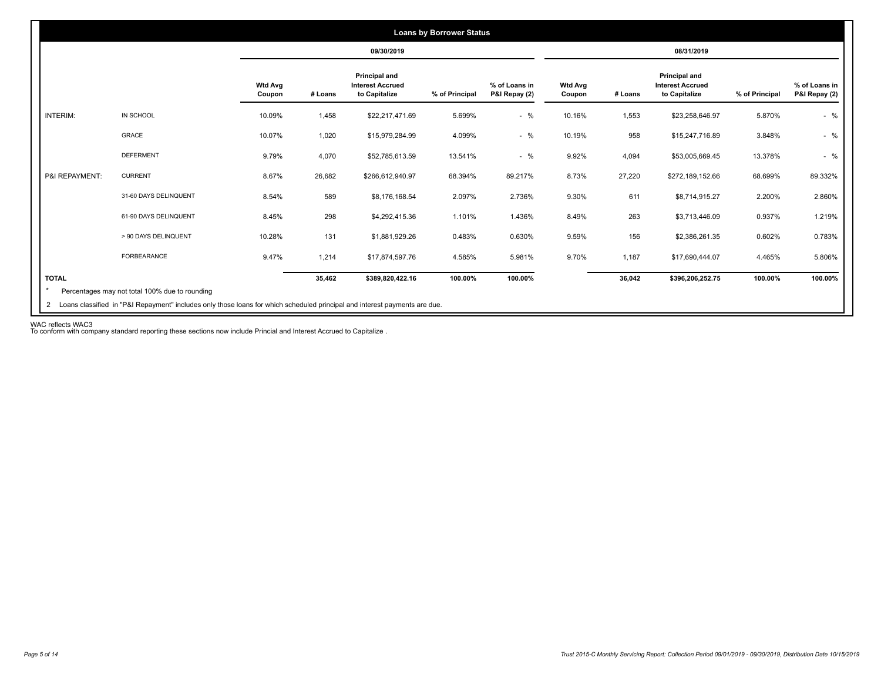|                 |                       |                          |         | 09/30/2019                                                       |                |                                |                          |         | 08/31/2019                                                |                |                                |
|-----------------|-----------------------|--------------------------|---------|------------------------------------------------------------------|----------------|--------------------------------|--------------------------|---------|-----------------------------------------------------------|----------------|--------------------------------|
|                 |                       | <b>Wtd Avg</b><br>Coupon | # Loans | <b>Principal and</b><br><b>Interest Accrued</b><br>to Capitalize | % of Principal | % of Loans in<br>P&I Repay (2) | <b>Wtd Avg</b><br>Coupon | # Loans | Principal and<br><b>Interest Accrued</b><br>to Capitalize | % of Principal | % of Loans in<br>P&I Repay (2) |
| <b>INTERIM:</b> | IN SCHOOL             | 10.09%                   | 1,458   | \$22,217,471.69                                                  | 5.699%         | $-$ %                          | 10.16%                   | 1,553   | \$23,258,646.97                                           | 5.870%         | $-$ %                          |
|                 | GRACE                 | 10.07%                   | 1,020   | \$15,979,284.99                                                  | 4.099%         | $-$ %                          | 10.19%                   | 958     | \$15,247,716.89                                           | 3.848%         | $-$ %                          |
|                 | <b>DEFERMENT</b>      | 9.79%                    | 4,070   | \$52,785,613.59                                                  | 13.541%        | $-$ %                          | 9.92%                    | 4,094   | \$53,005,669.45                                           | 13.378%        | $-$ %                          |
| P&I REPAYMENT:  | <b>CURRENT</b>        | 8.67%                    | 26,682  | \$266,612,940.97                                                 | 68.394%        | 89.217%                        | 8.73%                    | 27,220  | \$272,189,152.66                                          | 68.699%        | 89.332%                        |
|                 | 31-60 DAYS DELINQUENT | 8.54%                    | 589     | \$8,176,168.54                                                   | 2.097%         | 2.736%                         | 9.30%                    | 611     | \$8,714,915.27                                            | 2.200%         | 2.860%                         |
|                 | 61-90 DAYS DELINQUENT | 8.45%                    | 298     | \$4,292,415.36                                                   | 1.101%         | 1.436%                         | 8.49%                    | 263     | \$3,713,446.09                                            | 0.937%         | 1.219%                         |
|                 | > 90 DAYS DELINQUENT  | 10.28%                   | 131     | \$1,881,929.26                                                   | 0.483%         | 0.630%                         | 9.59%                    | 156     | \$2,386,261.35                                            | 0.602%         | 0.783%                         |
|                 | <b>FORBEARANCE</b>    | 9.47%                    | 1.214   | \$17,874,597.76                                                  | 4.585%         | 5.981%                         | 9.70%                    | 1,187   | \$17,690,444.07                                           | 4.465%         | 5.806%                         |
| <b>TOTAL</b>    |                       |                          | 35,462  | \$389,820,422.16                                                 | 100.00%        | 100.00%                        |                          | 36,042  | \$396,206,252.75                                          | 100.00%        | 100.00%                        |

WAC reflects WAC3 To conform with company standard reporting these sections now include Princial and Interest Accrued to Capitalize .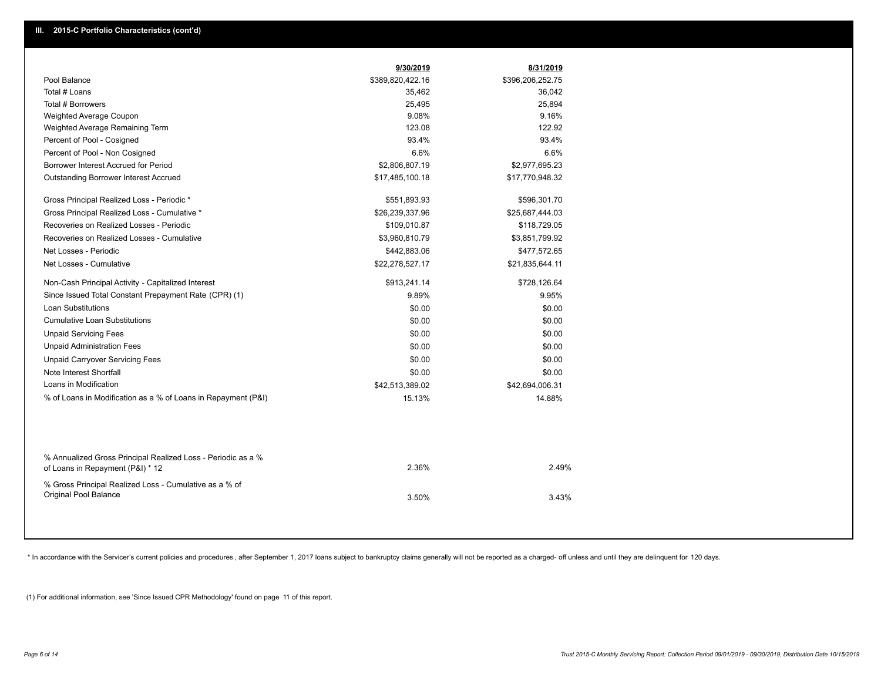|                                                                                                  | 9/30/2019        | 8/31/2019        |
|--------------------------------------------------------------------------------------------------|------------------|------------------|
| Pool Balance                                                                                     | \$389,820,422.16 | \$396,206,252.75 |
| Total # Loans                                                                                    | 35,462           | 36,042           |
| Total # Borrowers                                                                                | 25,495           | 25,894           |
| Weighted Average Coupon                                                                          | 9.08%            | 9.16%            |
| Weighted Average Remaining Term                                                                  | 123.08           | 122.92           |
| Percent of Pool - Cosigned                                                                       | 93.4%            | 93.4%            |
| Percent of Pool - Non Cosigned                                                                   | 6.6%             | 6.6%             |
| Borrower Interest Accrued for Period                                                             | \$2,806,807.19   | \$2,977,695.23   |
| <b>Outstanding Borrower Interest Accrued</b>                                                     | \$17,485,100.18  | \$17,770,948.32  |
| Gross Principal Realized Loss - Periodic *                                                       | \$551,893.93     | \$596,301.70     |
| Gross Principal Realized Loss - Cumulative *                                                     | \$26,239,337.96  | \$25,687,444.03  |
| Recoveries on Realized Losses - Periodic                                                         | \$109,010.87     | \$118,729.05     |
| Recoveries on Realized Losses - Cumulative                                                       | \$3,960,810.79   | \$3,851,799.92   |
| Net Losses - Periodic                                                                            | \$442,883.06     | \$477,572.65     |
| Net Losses - Cumulative                                                                          | \$22,278,527.17  | \$21,835,644.11  |
| Non-Cash Principal Activity - Capitalized Interest                                               | \$913,241.14     | \$728,126.64     |
| Since Issued Total Constant Prepayment Rate (CPR) (1)                                            | 9.89%            | 9.95%            |
| <b>Loan Substitutions</b>                                                                        | \$0.00           | \$0.00           |
| <b>Cumulative Loan Substitutions</b>                                                             | \$0.00           | \$0.00           |
| <b>Unpaid Servicing Fees</b>                                                                     | \$0.00           | \$0.00           |
| <b>Unpaid Administration Fees</b>                                                                | \$0.00           | \$0.00           |
| <b>Unpaid Carryover Servicing Fees</b>                                                           | \$0.00           | \$0.00           |
| Note Interest Shortfall                                                                          | \$0.00           | \$0.00           |
| Loans in Modification                                                                            | \$42,513,389.02  | \$42,694,006.31  |
| % of Loans in Modification as a % of Loans in Repayment (P&I)                                    | 15.13%           | 14.88%           |
|                                                                                                  |                  |                  |
| % Annualized Gross Principal Realized Loss - Periodic as a %<br>of Loans in Repayment (P&I) * 12 | 2.36%            | 2.49%            |
| % Gross Principal Realized Loss - Cumulative as a % of<br><b>Original Pool Balance</b>           | 3.50%            | 3.43%            |

\* In accordance with the Servicer's current policies and procedures, after September 1, 2017 loans subject to bankruptcy claims generally will not be reported as a charged- off unless and until they are delinquent for 120

(1) For additional information, see 'Since Issued CPR Methodology' found on page 11 of this report.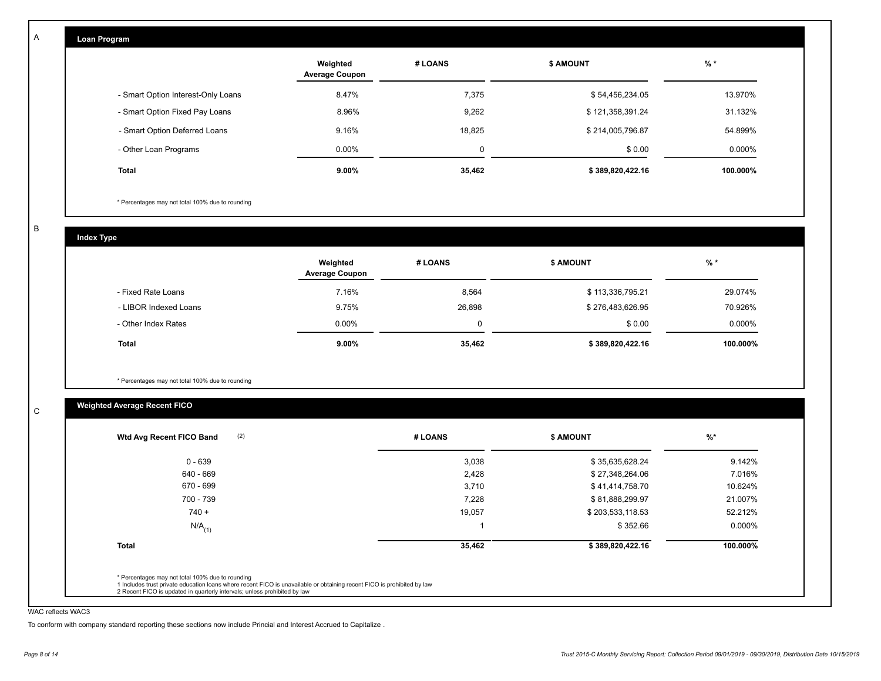| Loan Program                       |                                   |         |                  |          |
|------------------------------------|-----------------------------------|---------|------------------|----------|
|                                    | Weighted<br><b>Average Coupon</b> | # LOANS | <b>\$ AMOUNT</b> | $%$ *    |
| - Smart Option Interest-Only Loans | 8.47%                             | 7,375   | \$54,456,234.05  | 13.970%  |
| - Smart Option Fixed Pay Loans     | 8.96%                             | 9,262   | \$121,358,391.24 | 31.132%  |
| - Smart Option Deferred Loans      | 9.16%                             | 18,825  | \$214,005,796.87 | 54.899%  |
| - Other Loan Programs              | $0.00\%$                          | 0       | \$0.00           | 0.000%   |
| <b>Total</b>                       | 9.00%                             | 35,462  | \$389,820,422.16 | 100.000% |

\* Percentages may not total 100% due to rounding

B

C

A

**Index Type**

|                       | Weighted<br><b>Average Coupon</b> | # LOANS | <b>\$ AMOUNT</b> | $%$ *    |
|-----------------------|-----------------------------------|---------|------------------|----------|
| - Fixed Rate Loans    | 7.16%                             | 8,564   | \$113,336,795.21 | 29.074%  |
| - LIBOR Indexed Loans | 9.75%                             | 26,898  | \$276,483,626.95 | 70.926%  |
| - Other Index Rates   | $0.00\%$                          | 0       | \$0.00           | 0.000%   |
| <b>Total</b>          | $9.00\%$                          | 35,462  | \$389,820,422.16 | 100.000% |

\* Percentages may not total 100% due to rounding

# **Weighted Average Recent FICO**

| (2)<br>Wtd Avg Recent FICO Band                                                                                                                                                                      | # LOANS | \$ AMOUNT        | $\frac{9}{6}$ * |
|------------------------------------------------------------------------------------------------------------------------------------------------------------------------------------------------------|---------|------------------|-----------------|
| $0 - 639$                                                                                                                                                                                            | 3,038   | \$35,635,628.24  | 9.142%          |
| 640 - 669                                                                                                                                                                                            | 2,428   | \$27,348,264.06  | 7.016%          |
| 670 - 699                                                                                                                                                                                            | 3,710   | \$41,414,758.70  | 10.624%         |
| 700 - 739                                                                                                                                                                                            | 7,228   | \$81,888,299.97  | 21.007%         |
| $740 +$                                                                                                                                                                                              | 19,057  | \$203,533,118.53 | 52.212%         |
| $N/A$ <sub>(1)</sub>                                                                                                                                                                                 |         | \$352.66         | 0.000%          |
| <b>Total</b>                                                                                                                                                                                         | 35,462  | \$389,820,422.16 | 100.000%        |
| * Percentages may not total 100% due to rounding                                                                                                                                                     |         |                  |                 |
| 1 Includes trust private education loans where recent FICO is unavailable or obtaining recent FICO is prohibited by law<br>2 Recent FICO is updated in quarterly intervals; unless prohibited by law |         |                  |                 |

## WAC reflects WAC3

To conform with company standard reporting these sections now include Princial and Interest Accrued to Capitalize .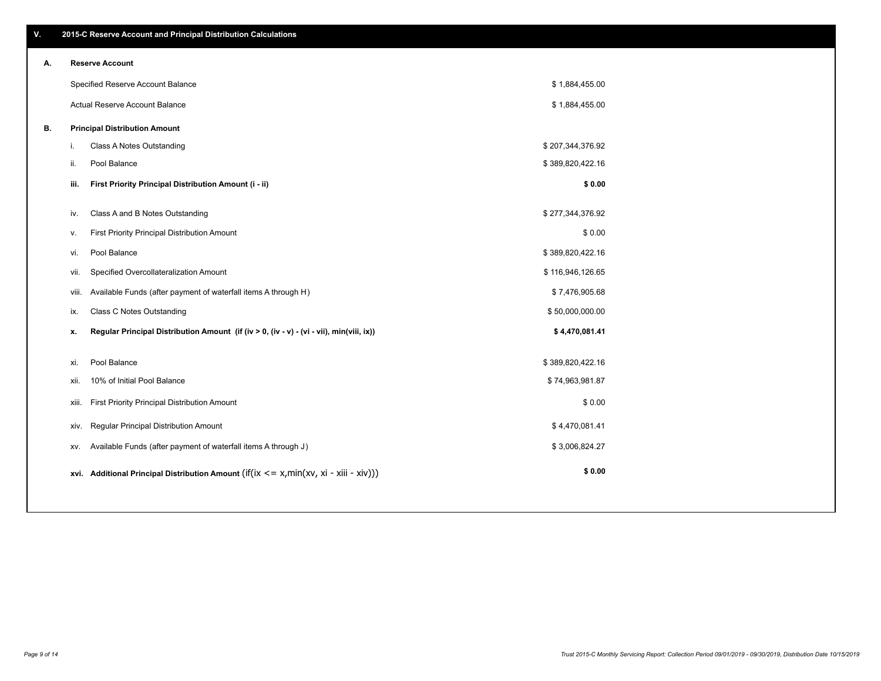| 30.644 |  |  |  |
|--------|--|--|--|

|    |       | Specified Reserve Account Balance                                                                   | \$1,884,455.00   |  |
|----|-------|-----------------------------------------------------------------------------------------------------|------------------|--|
|    |       | Actual Reserve Account Balance                                                                      | \$1,884,455.00   |  |
| В. |       | <b>Principal Distribution Amount</b>                                                                |                  |  |
|    | L.    | Class A Notes Outstanding                                                                           | \$207,344,376.92 |  |
|    | ii.   | Pool Balance                                                                                        | \$389,820,422.16 |  |
|    | iii.  | First Priority Principal Distribution Amount (i - ii)                                               | \$0.00           |  |
|    |       |                                                                                                     |                  |  |
|    | iv.   | Class A and B Notes Outstanding                                                                     | \$277,344,376.92 |  |
|    | v.    | First Priority Principal Distribution Amount                                                        | \$0.00           |  |
|    | vi.   | Pool Balance                                                                                        | \$389,820,422.16 |  |
|    | VII.  | Specified Overcollateralization Amount                                                              | \$116,946,126.65 |  |
|    | Viii. | Available Funds (after payment of waterfall items A through H)                                      | \$7,476,905.68   |  |
|    | ix.   | <b>Class C Notes Outstanding</b>                                                                    | \$50,000,000.00  |  |
|    | х.    | Regular Principal Distribution Amount (if (iv > 0, (iv - v) - (vi - vii), min(viii, ix))            | \$4,470,081.41   |  |
|    | xi.   | Pool Balance                                                                                        | \$389,820,422.16 |  |
|    | XII.  | 10% of Initial Pool Balance                                                                         | \$74,963,981.87  |  |
|    |       |                                                                                                     | \$0.00           |  |
|    | XIII. | First Priority Principal Distribution Amount                                                        |                  |  |
|    | XIV.  | <b>Regular Principal Distribution Amount</b>                                                        | \$4,470,081.41   |  |
|    | XV.   | Available Funds (after payment of waterfall items A through J)                                      | \$3,006,824.27   |  |
|    |       | xvi. Additional Principal Distribution Amount (if( $ix \le x$ , min( $xv$ , $xi$ - $xiii - xiv$ ))) | \$0.00           |  |
|    |       |                                                                                                     |                  |  |

## **A. Reserve Account**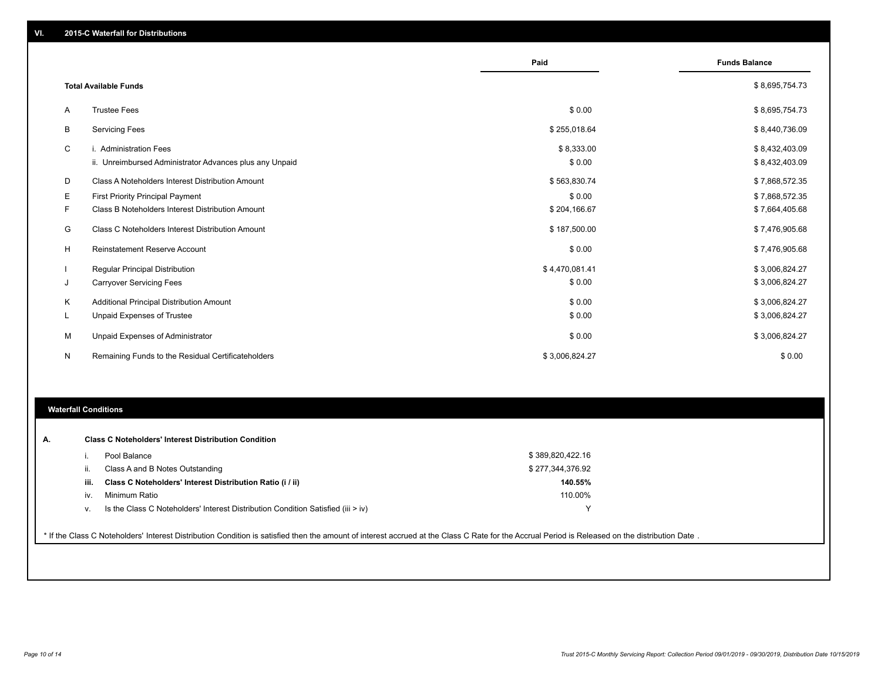|         |                                                                                                             | Paid                         | <b>Funds Balance</b>             |
|---------|-------------------------------------------------------------------------------------------------------------|------------------------------|----------------------------------|
|         | <b>Total Available Funds</b>                                                                                |                              | \$8,695,754.73                   |
| A       | <b>Trustee Fees</b>                                                                                         | \$0.00                       | \$8,695,754.73                   |
| B       | <b>Servicing Fees</b>                                                                                       | \$255,018.64                 | \$8,440,736.09                   |
| C       | i. Administration Fees                                                                                      | \$8,333.00<br>\$0.00         | \$8,432,403.09                   |
| D       | ii. Unreimbursed Administrator Advances plus any Unpaid<br>Class A Noteholders Interest Distribution Amount | \$563,830.74                 | \$8,432,403.09<br>\$7,868,572.35 |
| Е       | <b>First Priority Principal Payment</b>                                                                     | \$0.00                       | \$7,868,572.35                   |
| F.<br>G | Class B Noteholders Interest Distribution Amount<br>Class C Noteholders Interest Distribution Amount        | \$204,166.67<br>\$187,500.00 | \$7,664,405.68<br>\$7,476,905.68 |
| H       | Reinstatement Reserve Account                                                                               | \$0.00                       | \$7,476,905.68                   |
|         | <b>Regular Principal Distribution</b>                                                                       | \$4,470,081.41               | \$3,006,824.27                   |
| J       | <b>Carryover Servicing Fees</b>                                                                             | \$0.00                       | \$3,006,824.27                   |
| Κ       | Additional Principal Distribution Amount                                                                    | \$0.00                       | \$3,006,824.27                   |
| L.      | Unpaid Expenses of Trustee                                                                                  | \$0.00                       | \$3,006,824.27                   |
| М       | Unpaid Expenses of Administrator                                                                            | \$0.00                       | \$3,006,824.27                   |
| N       | Remaining Funds to the Residual Certificateholders                                                          | \$3,006,824.27               | \$0.00                           |

## **Waterfall Conditions**

| А. |      | <b>Class C Noteholders' Interest Distribution Condition</b>                      |                  |  |
|----|------|----------------------------------------------------------------------------------|------------------|--|
|    |      | Pool Balance                                                                     | \$389,820,422.16 |  |
|    | II.  | Class A and B Notes Outstanding                                                  | \$277,344,376.92 |  |
|    | iii. | Class C Noteholders' Interest Distribution Ratio (i / ii)                        | 140.55%          |  |
|    | IV.  | Minimum Ratio                                                                    | 110.00%          |  |
|    | v.   | Is the Class C Noteholders' Interest Distribution Condition Satisfied (iii > iv) |                  |  |

\* If the Class C Noteholders' Interest Distribution Condition is satisfied then the amount of interest accrued at the Class C Rate for the Accrual Period is Released on the distribution Date .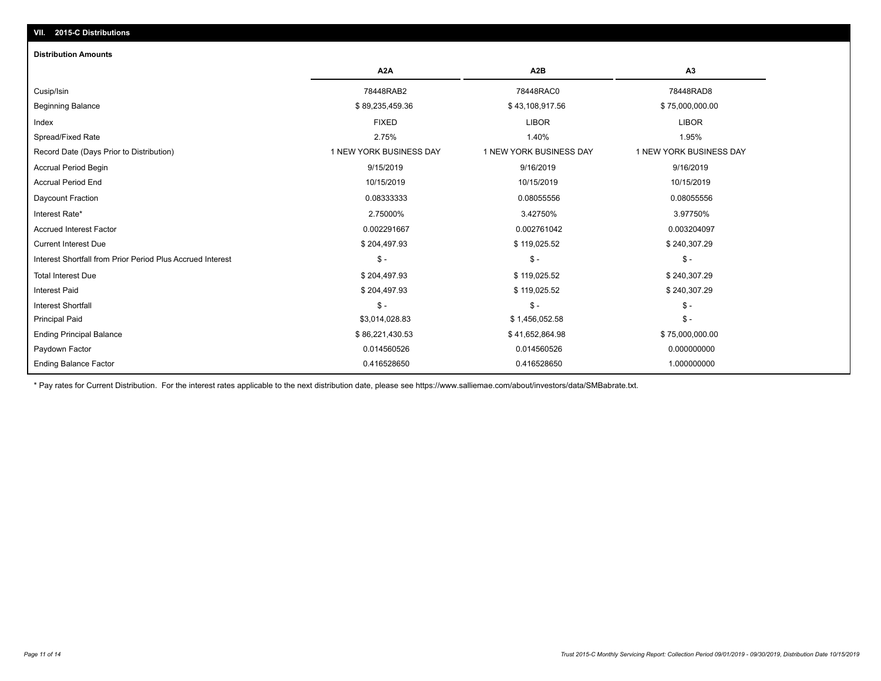# **VII. 2015-C Distributions**

#### **Distribution Amounts**

|                                                            | A <sub>2</sub> A        | A2B                     | A3                      |
|------------------------------------------------------------|-------------------------|-------------------------|-------------------------|
| Cusip/Isin                                                 | 78448RAB2               | 78448RAC0               | 78448RAD8               |
| <b>Beginning Balance</b>                                   | \$89,235,459.36         | \$43,108,917.56         | \$75,000,000.00         |
| Index                                                      | <b>FIXED</b>            | <b>LIBOR</b>            | <b>LIBOR</b>            |
| Spread/Fixed Rate                                          | 2.75%                   | 1.40%                   | 1.95%                   |
| Record Date (Days Prior to Distribution)                   | 1 NEW YORK BUSINESS DAY | 1 NEW YORK BUSINESS DAY | 1 NEW YORK BUSINESS DAY |
| <b>Accrual Period Begin</b>                                | 9/15/2019               | 9/16/2019               | 9/16/2019               |
| <b>Accrual Period End</b>                                  | 10/15/2019              | 10/15/2019              | 10/15/2019              |
| Daycount Fraction                                          | 0.08333333              | 0.08055556              | 0.08055556              |
| Interest Rate*                                             | 2.75000%                | 3.42750%                | 3.97750%                |
| <b>Accrued Interest Factor</b>                             | 0.002291667             | 0.002761042             | 0.003204097             |
| <b>Current Interest Due</b>                                | \$204,497.93            | \$119,025.52            | \$240,307.29            |
| Interest Shortfall from Prior Period Plus Accrued Interest | $$ -$                   | $$ -$                   | $\mathsf{\$}$ -         |
| <b>Total Interest Due</b>                                  | \$204,497.93            | \$119,025.52            | \$240,307.29            |
| <b>Interest Paid</b>                                       | \$204,497.93            | \$119,025.52            | \$240,307.29            |
| <b>Interest Shortfall</b>                                  | $$ -$                   | \$-                     | $$ -$                   |
| <b>Principal Paid</b>                                      | \$3,014,028.83          | \$1,456,052.58          | $$ -$                   |
| <b>Ending Principal Balance</b>                            | \$86,221,430.53         | \$41,652,864.98         | \$75,000,000.00         |
| Paydown Factor                                             | 0.014560526             | 0.014560526             | 0.000000000             |
| <b>Ending Balance Factor</b>                               | 0.416528650             | 0.416528650             | 1.000000000             |

\* Pay rates for Current Distribution. For the interest rates applicable to the next distribution date, please see https://www.salliemae.com/about/investors/data/SMBabrate.txt.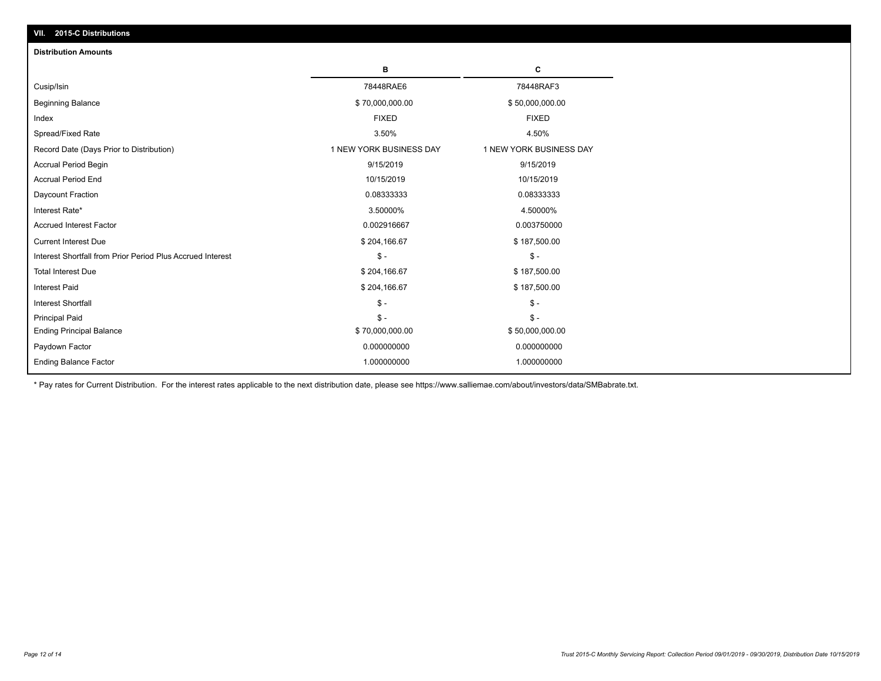| $-9$ is $-9$ is the tribution of<br><b>Distribution Amounts</b> |                         |                         |
|-----------------------------------------------------------------|-------------------------|-------------------------|
|                                                                 | в                       | C                       |
| Cusip/Isin                                                      | 78448RAE6               | 78448RAF3               |
| <b>Beginning Balance</b>                                        | \$70,000,000.00         | \$50,000,000.00         |
| Index                                                           | <b>FIXED</b>            | <b>FIXED</b>            |
| Spread/Fixed Rate                                               | 3.50%                   | 4.50%                   |
| Record Date (Days Prior to Distribution)                        | 1 NEW YORK BUSINESS DAY | 1 NEW YORK BUSINESS DAY |
| Accrual Period Begin                                            | 9/15/2019               | 9/15/2019               |
| <b>Accrual Period End</b>                                       | 10/15/2019              | 10/15/2019              |
| Daycount Fraction                                               | 0.08333333              | 0.08333333              |
| Interest Rate*                                                  | 3.50000%                | 4.50000%                |
| <b>Accrued Interest Factor</b>                                  | 0.002916667             | 0.003750000             |
| <b>Current Interest Due</b>                                     | \$204,166.67            | \$187,500.00            |
| Interest Shortfall from Prior Period Plus Accrued Interest      | $$ -$                   | $$ -$                   |
| <b>Total Interest Due</b>                                       | \$204,166.67            | \$187,500.00            |
| <b>Interest Paid</b>                                            | \$204,166.67            | \$187,500.00            |
| Interest Shortfall                                              | $$ -$                   | $$ -$                   |
| <b>Principal Paid</b>                                           | $$ -$                   | $$ -$                   |
| <b>Ending Principal Balance</b>                                 | \$70,000,000.00         | \$50,000,000.00         |
| Paydown Factor                                                  | 0.000000000             | 0.000000000             |
| <b>Ending Balance Factor</b>                                    | 1.000000000             | 1.000000000             |

\* Pay rates for Current Distribution. For the interest rates applicable to the next distribution date, please see https://www.salliemae.com/about/investors/data/SMBabrate.txt.

**VII. 2015-C Distributions**